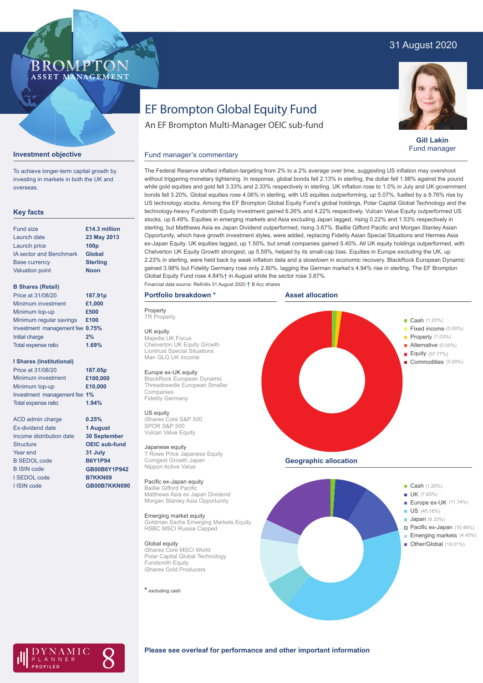# 31 August 2020

# **BROMP** ASSET MANAGEMENT

**Gill Lakin** Fund manager

# EF Brompton Global Equity Fund

An EF Brompton Multi-Manager OEIC sub-fund

## Fund manager's commentary



To achieve longer-term capital growth by investing in markets in both the UK and overseas.

## **Key facts**

| <b>Fund size</b>               | £14.3 million    |
|--------------------------------|------------------|
| Launch date                    | 23 May 2013      |
| Launch price                   | 100 <sub>p</sub> |
| <b>IA sector and Benchmark</b> | <b>Global</b>    |
| <b>Base currency</b>           | <b>Sterling</b>  |
| <b>Valuation point</b>         | <b>Noon</b>      |
|                                |                  |

### **B Shares (Retail)**

| Price at 31/08/20               | 187.91p |
|---------------------------------|---------|
| Minimum investment              | £1,000  |
| Minimum top-up                  | £500    |
| Minimum regular savings         | £100    |
| Investment management fee 0.75% |         |
| Initial charge                  | 2%      |
| Total expense ratio             | 1.69%   |
|                                 |         |

#### **I Shares (Institutional)**

| Price at 31/08/20            | 187.05p  |
|------------------------------|----------|
| Minimum investment           | £100,000 |
| Minimum top-up               | £10,000  |
| Investment management fee 1% |          |
| <b>Total expense ratio</b>   | 1.94%    |

ACD admin charge Ex-dividend date Income distribution date **Structure** Year end B SEDOL code B ISIN code I SEDOL code I ISIN code

**0.25% 1 August 30 September OEIC sub-fund 31 July B6Y1P94 GB00B6Y1P942 B7KKN09 GB00B7KKN090** without triggering monetary tightening. In response, global bonds fell 2.13% in sterling, the dollar fell 1.98% against the pound while gold equities and gold fell 3.33% and 2.33% respectively in sterling. UK inflation rose to 1.0% in July and UK government bonds fell 3.20%. Global equities rose 4.06% in sterling, with US equities outperforming, up 5.07%, fuelled by a 9.76% rise by US technology stocks. Among the EF Brompton Global Equity Fund's global holdings, Polar Capital Global Technology and the technology-heavy Fundsmith Equity investment gained 6.26% and 4.22% respectively. Vulcan Value Equity outperformed US stocks, up 6.49%. Equities in emerging markets and Asia excluding Japan lagged, rising 0.22% and 1.53% respectively in sterling, but Matthews Asia ex Japan Dividend outperformed, rising 3.67%. Baillie Gifford Pacific and Morgan Stanley Asian Opportunity, which have growth investment styles, were added, replacing Fidelity Asian Special Situations and Hermes Asia ex-Japan Equity. UK equities lagged, up 1.50%, but small companies gained 5.40%. All UK equity holdings outperformed, with Chelverton UK Equity Growth strongest, up 5.59%, helped by its small-cap bias. Equities in Europe excluding the UK, up 2.23% in sterling, were held back by weak inflation data and a slowdown in economic recovery. BlackRock European Dynamic gained 3.98% but Fidelity Germany rose only 2.80%, lagging the German market's 4.94% rise in sterling. The EF Brompton Global Equity Fund rose 4.84%† in August while the sector rose 3.87%.

The Federal Reserve shifted inflation-targeting from 2% to a 2% average over time, suggesting US inflation may overshoot

# **Portfolio breakdown \***

**Property TR Property** 

UK equity Majedie UK Focus Chelverton UK Equity Growth Liontrust Special Situations Man GLG UK Income

#### Europe ex-UK equity

BlackRock European Dynamic Threadneedle European Smaller Companies Fidelity Germany

US equity iShares Core S&P 500 SPDR S&P 500 Vulcan Value Equity

#### Japanese equity

T Rowe Price Japanese Equity Comgest Growth Japan Nippon Active Value

#### Pacific ex-Japan equity

Baillie Gifford Pacific Matthews Asia ex Japan Dividend Morgan Stanley Asia Opportunity

Emerging market equity Goldman Sachs Emerging Markets Equity HSBC MSCI Russia Capped

#### Global equity

iShares Core MSCI World Polar Capital Global Technology Fundsmith Equity iShares Gold Producers

#### **\*** excluding cash